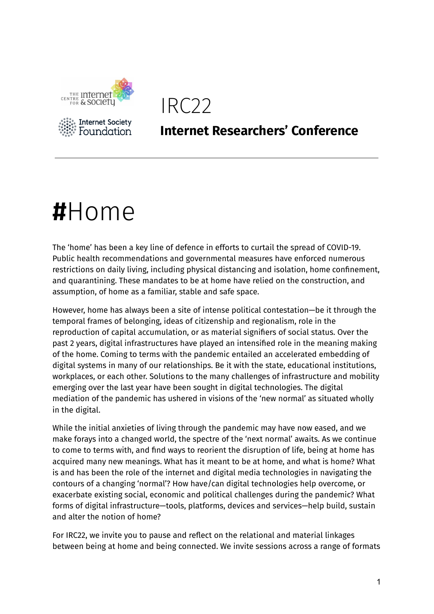



### **Internet Researchers' Conference**

# **#**Home

The 'home' has been a key line of defence in efforts to curtail the spread of COVID-19. Public health recommendations and governmental measures have enforced numerous restrictions on daily living, including physical distancing and isolation, home confinement, and quarantining. These mandates to be at home have relied on the construction, and assumption, of home as a familiar, stable and safe space.

However, home has always been a site of intense political contestation—be it through the temporal frames of belonging, ideas of citizenship and regionalism, role in the reproduction of capital accumulation, or as material signifiers of social status. Over the past 2 years, digital infrastructures have played an intensified role in the meaning making of the home. Coming to terms with the pandemic entailed an accelerated embedding of digital systems in many of our relationships. Be it with the state, educational institutions, workplaces, or each other. Solutions to the many challenges of infrastructure and mobility emerging over the last year have been sought in digital technologies. The digital mediation of the pandemic has ushered in visions of the 'new normal' as situated wholly in the digital.

While the initial anxieties of living through the pandemic may have now eased, and we make forays into a changed world, the spectre of the 'next normal' awaits. As we continue to come to terms with, and find ways to reorient the disruption of life, being at home has acquired many new meanings. What has it meant to be at home, and what is home? What is and has been the role of the internet and digital media technologies in navigating the contours of a changing 'normal'? How have/can digital technologies help overcome, or exacerbate existing social, economic and political challenges during the pandemic? What forms of digital infrastructure—tools, platforms, devices and services—help build, sustain and alter the notion of home?

For IRC22, we invite you to pause and reflect on the relational and material linkages between being at home and being connected. We invite sessions across a range of formats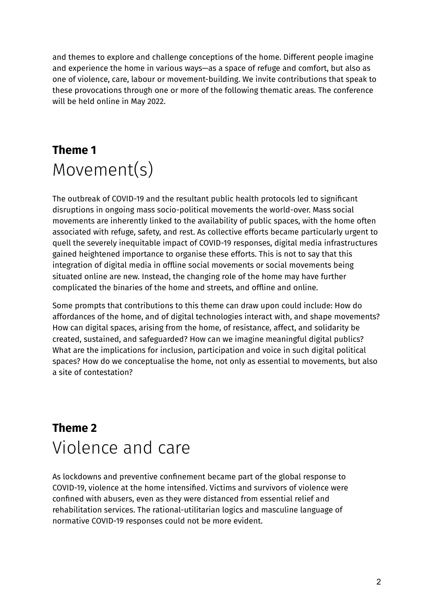and themes to explore and challenge conceptions of the home. Different people imagine and experience the home in various ways—as a space of refuge and comfort, but also as one of violence, care, labour or movement-building. We invite contributions that speak to these provocations through one or more of the following thematic areas. The conference will be held online in May 2022.

## **Theme 1** Movement(s)

The outbreak of COVID-19 and the resultant public health protocols led to significant disruptions in ongoing mass socio-political movements the world-over. Mass social movements are inherently linked to the availability of public spaces, with the home often associated with refuge, safety, and rest. As collective efforts became particularly urgent to quell the severely inequitable impact of COVID-19 responses, digital media infrastructures gained heightened importance to organise these efforts. This is not to say that this integration of digital media in offline social movements or social movements being situated online are new. Instead, the changing role of the home may have further complicated the binaries of the home and streets, and offline and online.

Some prompts that contributions to this theme can draw upon could include: How do affordances of the home, and of digital technologies interact with, and shape movements? How can digital spaces, arising from the home, of resistance, affect, and solidarity be created, sustained, and safeguarded? How can we imagine meaningful digital publics? What are the implications for inclusion, participation and voice in such digital political spaces? How do we conceptualise the home, not only as essential to movements, but also a site of contestation?

### **Theme 2** Violence and care

As lockdowns and preventive confinement became part of the global response to COVID-19, violence at the home intensified. Victims and survivors of violence were confined with abusers, even as they were distanced from essential relief and rehabilitation services. The rational-utilitarian logics and masculine language of normative COVID-19 responses could not be more evident.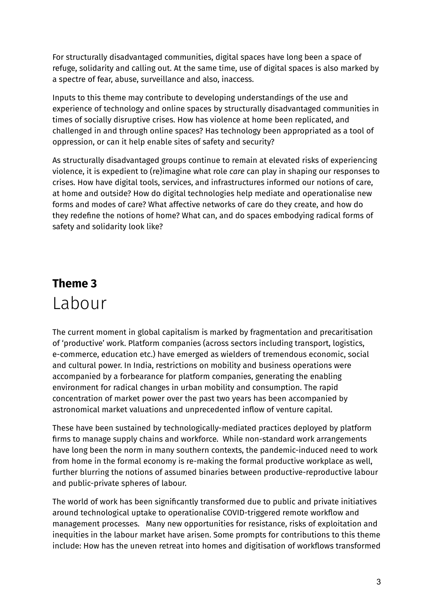For structurally disadvantaged communities, digital spaces have long been a space of refuge, solidarity and calling out. At the same time, use of digital spaces is also marked by a spectre of fear, abuse, surveillance and also, inaccess.

Inputs to this theme may contribute to developing understandings of the use and experience of technology and online spaces by structurally disadvantaged communities in times of socially disruptive crises. How has violence at home been replicated, and challenged in and through online spaces? Has technology been appropriated as a tool of oppression, or can it help enable sites of safety and security?

As structurally disadvantaged groups continue to remain at elevated risks of experiencing violence, it is expedient to (re)imagine what role *care* can play in shaping our responses to crises. How have digital tools, services, and infrastructures informed our notions of care, at home and outside? How do digital technologies help mediate and operationalise new forms and modes of care? What affective networks of care do they create, and how do they redefine the notions of home? What can, and do spaces embodying radical forms of safety and solidarity look like?

### **Theme 3** Labour

The current moment in global capitalism is marked by fragmentation and precaritisation of 'productive' work. Platform companies (across sectors including transport, logistics, e-commerce, education etc.) have emerged as wielders of tremendous economic, social and cultural power. In India, restrictions on mobility and business operations were accompanied by a forbearance for platform companies, generating the enabling environment for radical changes in urban mobility and consumption. The rapid concentration of market power over the past two years has been accompanied by astronomical market valuations and unprecedented inflow of venture capital.

These have been sustained by technologically-mediated practices deployed by platform firms to manage supply chains and workforce. While non-standard work arrangements have long been the norm in many southern contexts, the pandemic-induced need to work from home in the formal economy is re-making the formal productive workplace as well, further blurring the notions of assumed binaries between productive-reproductive labour and public-private spheres of labour.

The world of work has been significantly transformed due to public and private initiatives around technological uptake to operationalise COVID-triggered remote workflow and management processes. Many new opportunities for resistance, risks of exploitation and inequities in the labour market have arisen. Some prompts for contributions to this theme include: How has the uneven retreat into homes and digitisation of workflows transformed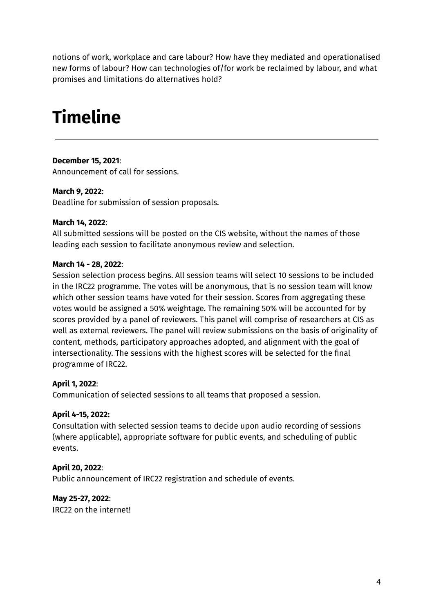notions of work, workplace and care labour? How have they mediated and operationalised new forms of labour? How can technologies of/for work be reclaimed by labour, and what promises and limitations do alternatives hold?

# **Timeline**

#### **December 15, 2021**:

Announcement of call for sessions.

#### **March 9, 2022**:

Deadline for submission of session proposals.

#### **March 14, 2022**:

All submitted sessions will be posted on the CIS website, without the names of those leading each session to facilitate anonymous review and selection.

#### **March 14 - 28, 2022**:

Session selection process begins. All session teams will select 10 sessions to be included in the IRC22 programme. The votes will be anonymous, that is no session team will know which other session teams have voted for their session. Scores from aggregating these votes would be assigned a 50% weightage. The remaining 50% will be accounted for by scores provided by a panel of reviewers. This panel will comprise of researchers at CIS as well as external reviewers. The panel will review submissions on the basis of originality of content, methods, participatory approaches adopted, and alignment with the goal of intersectionality. The sessions with the highest scores will be selected for the final programme of IRC22.

#### **April 1, 2022**:

Communication of selected sessions to all teams that proposed a session.

#### **April 4-15, 2022:**

Consultation with selected session teams to decide upon audio recording of sessions (where applicable), appropriate software for public events, and scheduling of public events.

#### **April 20, 2022**:

Public announcement of IRC22 registration and schedule of events.

#### **May 25-27, 2022**:

IRC22 on the internet!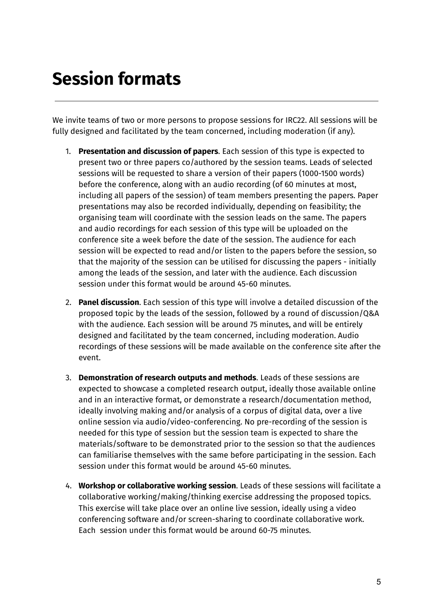# **Session formats**

We invite teams of two or more persons to propose sessions for IRC22. All sessions will be fully designed and facilitated by the team concerned, including moderation (if any).

- 1. **Presentation and discussion of papers**. Each session of this type is expected to present two or three papers co/authored by the session teams. Leads of selected sessions will be requested to share a version of their papers (1000-1500 words) before the conference, along with an audio recording (of 60 minutes at most, including all papers of the session) of team members presenting the papers. Paper presentations may also be recorded individually, depending on feasibility; the organising team will coordinate with the session leads on the same. The papers and audio recordings for each session of this type will be uploaded on the conference site a week before the date of the session. The audience for each session will be expected to read and/or listen to the papers before the session, so that the majority of the session can be utilised for discussing the papers - initially among the leads of the session, and later with the audience. Each discussion session under this format would be around 45-60 minutes.
- 2. **Panel discussion**. Each session of this type will involve a detailed discussion of the proposed topic by the leads of the session, followed by a round of discussion/Q&A with the audience. Each session will be around 75 minutes, and will be entirely designed and facilitated by the team concerned, including moderation. Audio recordings of these sessions will be made available on the conference site after the event.
- 3. **Demonstration of research outputs and methods**. Leads of these sessions are expected to showcase a completed research output, ideally those available online and in an interactive format, or demonstrate a research/documentation method, ideally involving making and/or analysis of a corpus of digital data, over a live online session via audio/video-conferencing. No pre-recording of the session is needed for this type of session but the session team is expected to share the materials/software to be demonstrated prior to the session so that the audiences can familiarise themselves with the same before participating in the session. Each session under this format would be around 45-60 minutes.
- 4. **Workshop or collaborative working session**. Leads of these sessions will facilitate a collaborative working/making/thinking exercise addressing the proposed topics. This exercise will take place over an online live session, ideally using a video conferencing software and/or screen-sharing to coordinate collaborative work. Each session under this format would be around 60-75 minutes.